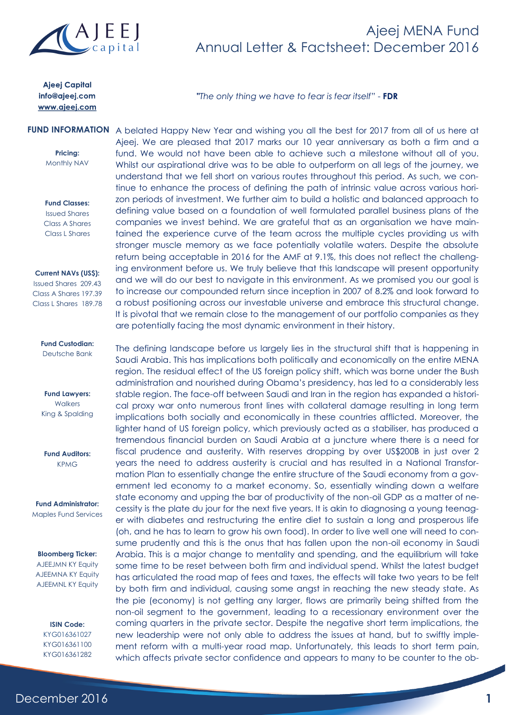

## Ajeej MENA Fund Annual Letter & Factsheet: December 2016

**Ajeej Capital** info@ajeej.com www.ajeej.com

**"***The only thing we have to fear is fear itself*" - **FDR**

**Pricing:** Monthly NAV **Fund Classes:** Issued Shares Class A Shares

**Current NAVs (US\$):**

Class L Shares

Issued Shares 209.43 Class A Shares 197.39 Class L Shares 189.78

#### **Fund Custodian:** Deutsche Bank

**Fund Lawyers: Walkers** King & Spalding

**Fund Auditors:** KPMG

**Fund Administrator:** Maples Fund Services

#### **Bloomberg Ticker:**

AJEEJMN KY Equity AJEEMNA KY Equity AJEEMNL KY Equity

> **ISIN Code:** KYG016361027 KYG016361100 KYG016361282

FUND INFORMATION A belated Happy New Year and wishing you all the best for 2017 from all of us here at Ajeej. We are pleased that 2017 marks our 10 year anniversary as both a firm and a fund. We would not have been able to achieve such a milestone without all of you. Whilst our aspirational drive was to be able to outperform on all legs of the journey, we understand that we fell short on various routes throughout this period. As such, we continue to enhance the process of defining the path of intrinsic value across various horizon periods of investment. We further aim to build a holistic and balanced approach to defining value based on a foundation of well formulated parallel business plans of the companies we invest behind. We are grateful that as an organisation we have maintained the experience curve of the team across the multiple cycles providing us with stronger muscle memory as we face potentially volatile waters. Despite the absolute return being acceptable in 2016 for the AMF at 9.1%, this does not reflect the challenging environment before us. We truly believe that this landscape will present opportunity and we will do our best to navigate in this environment. As we promised you our goal is to increase our compounded return since inception in 2007 of 8.2% and look forward to a robust positioning across our investable universe and embrace this structural change. It is pivotal that we remain close to the management of our portfolio companies as they are potentially facing the most dynamic environment in their history.

> The defining landscape before us largely lies in the structural shift that is happening in Saudi Arabia. This has implications both politically and economically on the entire MENA region. The residual effect of the US foreign policy shift, which was borne under the Bush administration and nourished during Obama's presidency, has led to a considerably less stable region. The face-off between Saudi and Iran in the region has expanded a historical proxy war onto numerous front lines with collateral damage resulting in long term implications both socially and economically in these countries afflicted. Moreover, the lighter hand of US foreign policy, which previously acted as a stabiliser, has produced a tremendous financial burden on Saudi Arabia at a juncture where there is a need for fiscal prudence and austerity. With reserves dropping by over US\$200B in just over 2 years the need to address austerity is crucial and has resulted in a National Transformation Plan to essentially change the entire structure of the Saudi economy from a government led economy to a market economy. So, essentially winding down a welfare state economy and upping the bar of productivity of the non-oil GDP as a matter of necessity is the plate du jour for the next five years. It is akin to diagnosing a young teenager with diabetes and restructuring the entire diet to sustain a long and prosperous life (oh, and he has to learn to grow his own food). In order to live well one will need to consume prudently and this is the onus that has fallen upon the non-oil economy in Saudi Arabia. This is a major change to mentality and spending, and the equilibrium will take some time to be reset between both firm and individual spend. Whilst the latest budget has articulated the road map of fees and taxes, the effects will take two years to be felt by both firm and individual, causing some angst in reaching the new steady state. As the pie (economy) is not getting any larger, flows are primarily being shifted from the non-oil segment to the government, leading to a recessionary environment over the coming quarters in the private sector. Despite the negative short term implications, the new leadership were not only able to address the issues at hand, but to swiftly implement reform with a multi-year road map. Unfortunately, this leads to short term pain, which affects private sector confidence and appears to many to be counter to the ob-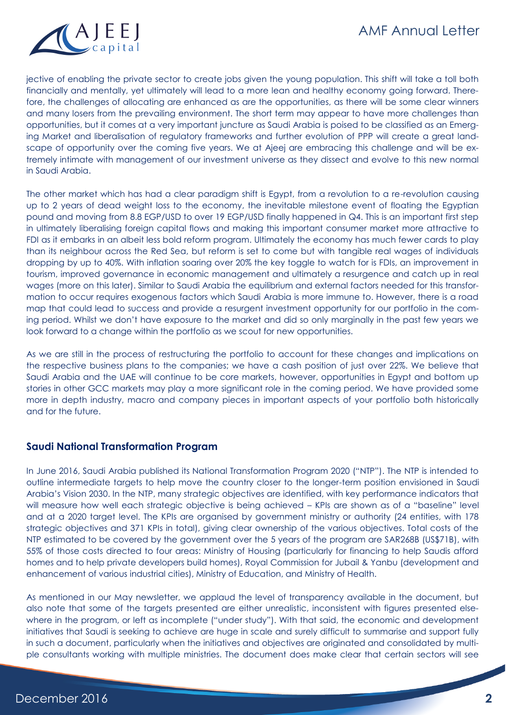

jective of enabling the private sector to create jobs given the young population. This shift will take a toll both financially and mentally, yet ultimately will lead to a more lean and healthy economy going forward. Therefore, the challenges of allocating are enhanced as are the opportunities, as there will be some clear winners and many losers from the prevailing environment. The short term may appear to have more challenges than opportunities, but it comes at a very important juncture as Saudi Arabia is poised to be classified as an Emerging Market and liberalisation of regulatory frameworks and further evolution of PPP will create a great landscape of opportunity over the coming five years. We at Ajeej are embracing this challenge and will be extremely intimate with management of our investment universe as they dissect and evolve to this new normal in Saudi Arabia.

The other market which has had a clear paradigm shift is Egypt, from a revolution to a re-revolution causing up to 2 years of dead weight loss to the economy, the inevitable milestone event of floating the Egyptian pound and moving from 8.8 EGP/USD to over 19 EGP/USD finally happened in Q4. This is an important first step in ultimately liberalising foreign capital flows and making this important consumer market more attractive to FDI as it embarks in an albeit less bold reform program. Ultimately the economy has much fewer cards to play than its neighbour across the Red Sea, but reform is set to come but with tangible real wages of individuals dropping by up to 40%. With inflation soaring over 20% the key toggle to watch for is FDIs, an improvement in tourism, improved governance in economic management and ultimately a resurgence and catch up in real wages (more on this later). Similar to Saudi Arabia the equilibrium and external factors needed for this transformation to occur requires exogenous factors which Saudi Arabia is more immune to. However, there is a road map that could lead to success and provide a resurgent investment opportunity for our portfolio in the coming period. Whilst we don't have exposure to the market and did so only marginally in the past few years we look forward to a change within the portfolio as we scout for new opportunities.

As we are still in the process of restructuring the portfolio to account for these changes and implications on the respective business plans to the companies; we have a cash position of just over 22%. We believe that Saudi Arabia and the UAE will continue to be core markets, however, opportunities in Egypt and bottom up stories in other GCC markets may play a more significant role in the coming period. We have provided some more in depth industry, macro and company pieces in important aspects of your portfolio both historically and for the future.

### **Saudi National Transformation Program**

In June 2016, Saudi Arabia published its National Transformation Program 2020 ("NTP"). The NTP is intended to outline intermediate targets to help move the country closer to the longer-term position envisioned in Saudi Arabia's Vision 2030. In the NTP, many strategic objectives are identified, with key performance indicators that will measure how well each strategic objective is being achieved - KPIs are shown as of a "baseline" level and at a 2020 target level. The KPIs are organised by government ministry or authority (24 entities, with 178 strategic objectives and 371 KPIs in total), giving clear ownership of the various objectives. Total costs of the NTP estimated to be covered by the government over the 5 years of the program are SAR268B (US\$71B), with 55% of those costs directed to four areas: Ministry of Housing (particularly for financing to help Saudis afford homes and to help private developers build homes), Royal Commission for Jubail & Yanbu (development and enhancement of various industrial cities), Ministry of Education, and Ministry of Health.

As mentioned in our May newsletter, we applaud the level of transparency available in the document, but also note that some of the targets presented are either unrealistic, inconsistent with figures presented elsewhere in the program, or left as incomplete ("under study"). With that said, the economic and development initiatives that Saudi is seeking to achieve are huge in scale and surely difficult to summarise and support fully in such a document, particularly when the initiatives and objectives are originated and consolidated by multiple consultants working with multiple ministries. The document does make clear that certain sectors will see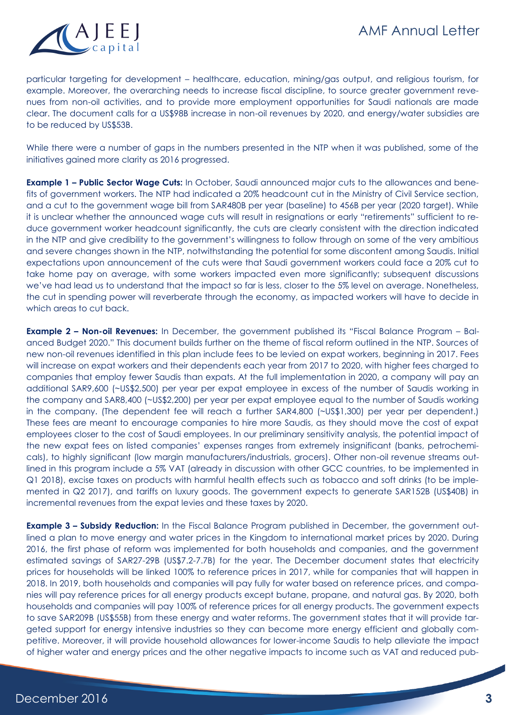

particular targeting for development – healthcare, education, mining/gas output, and religious tourism, for example. Moreover, the overarching needs to increase fiscal discipline, to source greater government revenues from non-oil activities, and to provide more employment opportunities for Saudi nationals are made clear. The document calls for a US\$98B increase in non-oil revenues by 2020, and energy/water subsidies are to be reduced by US\$53B.

While there were a number of gaps in the numbers presented in the NTP when it was published, some of the initiatives gained more clarity as 2016 progressed.

**Example 1 – Public Sector Wage Cuts:** In October, Saudi announced major cuts to the allowances and benefits of government workers. The NTP had indicated a 20% headcount cut in the Ministry of Civil Service section, and a cut to the government wage bill from SAR480B per year (baseline) to 456B per year (2020 target). While it is unclear whether the announced wage cuts will result in resignations or early "retirements" sufficient to reduce government worker headcount significantly, the cuts are clearly consistent with the direction indicated in the NTP and give credibility to the government's willingness to follow through on some of the very ambitious and severe changes shown in the NTP, notwithstanding the potential for some discontent among Saudis. Initial expectations upon announcement of the cuts were that Saudi government workers could face a 20% cut to take home pay on average, with some workers impacted even more significantly; subsequent discussions we've had lead us to understand that the impact so far is less, closer to the 5% level on average. Nonetheless, the cut in spending power will reverberate through the economy, as impacted workers will have to decide in which areas to cut back.

**Example 2 – Non-oil Revenues:** In December, the government published its "Fiscal Balance Program – Balanced Budget 2020." This document builds further on the theme of fiscal reform outlined in the NTP. Sources of new non-oil revenues identified in this plan include fees to be levied on expat workers, beginning in 2017. Fees will increase on expat workers and their dependents each year from 2017 to 2020, with higher fees charged to companies that employ fewer Saudis than expats. At the full implementation in 2020, a company will pay an additional SAR9,600 (~US\$2,500) per year per expat employee in excess of the number of Saudis working in the company and SAR8,400 (~US\$2,200) per year per expat employee equal to the number of Saudis working in the company. (The dependent fee will reach a further SAR4,800 (~US\$1,300) per year per dependent.) These fees are meant to encourage companies to hire more Saudis, as they should move the cost of expat employees closer to the cost of Saudi employees. In our preliminary sensitivity analysis, the potential impact of the new expat fees on listed companies' expenses ranges from extremely insignificant (banks, petrochemicals), to highly significant (low margin manufacturers/industrials, grocers). Other non-oil revenue streams outlined in this program include a 5% VAT (already in discussion with other GCC countries, to be implemented in Q1 2018), excise taxes on products with harmful health effects such as tobacco and soft drinks (to be implemented in Q2 2017), and tariffs on luxury goods. The government expects to generate SAR152B (US\$40B) in incremental revenues from the expat levies and these taxes by 2020.

**Example 3 – Subsidy Reduction:** In the Fiscal Balance Program published in December, the government outlined a plan to move energy and water prices in the Kingdom to international market prices by 2020. During 2016, the first phase of reform was implemented for both households and companies, and the government estimated savings of SAR27-29B (US\$7.2-7.7B) for the year. The December document states that electricity prices for households will be linked 100% to reference prices in 2017, while for companies that will happen in 2018. In 2019, both households and companies will pay fully for water based on reference prices, and companies will pay reference prices for all energy products except butane, propane, and natural gas. By 2020, both households and companies will pay 100% of reference prices for all energy products. The government expects to save SAR209B (US\$55B) from these energy and water reforms. The government states that it will provide targeted support for energy intensive industries so they can become more energy efficient and globally competitive. Moreover, it will provide household allowances for lower-income Saudis to help alleviate the impact of higher water and energy prices and the other negative impacts to income such as VAT and reduced pub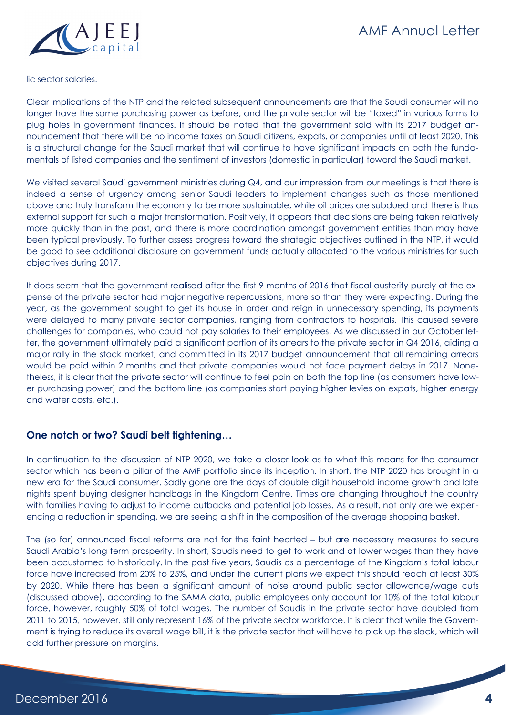lic sector salaries.

Clear implications of the NTP and the related subsequent announcements are that the Saudi consumer will no longer have the same purchasing power as before, and the private sector will be "taxed" in various forms to plug holes in government finances. It should be noted that the government said with its 2017 budget announcement that there will be no income taxes on Saudi citizens, expats, or companies until at least 2020. This is a structural change for the Saudi market that will continue to have significant impacts on both the fundamentals of listed companies and the sentiment of investors (domestic in particular) toward the Saudi market.

We visited several Saudi government ministries during Q4, and our impression from our meetings is that there is indeed a sense of urgency among senior Saudi leaders to implement changes such as those mentioned above and truly transform the economy to be more sustainable, while oil prices are subdued and there is thus external support for such a major transformation. Positively, it appears that decisions are being taken relatively more quickly than in the past, and there is more coordination amongst government entities than may have been typical previously. To further assess progress toward the strategic objectives outlined in the NTP, it would be good to see additional disclosure on government funds actually allocated to the various ministries for such objectives during 2017.

It does seem that the government realised after the first 9 months of 2016 that fiscal austerity purely at the expense of the private sector had major negative repercussions, more so than they were expecting. During the year, as the government sought to get its house in order and reign in unnecessary spending, its payments were delayed to many private sector companies, ranging from contractors to hospitals. This caused severe challenges for companies, who could not pay salaries to their employees. As we discussed in our October letter, the government ultimately paid a significant portion of its arrears to the private sector in Q4 2016, aiding a major rally in the stock market, and committed in its 2017 budget announcement that all remaining arrears would be paid within 2 months and that private companies would not face payment delays in 2017. Nonetheless, it is clear that the private sector will continue to feel pain on both the top line (as consumers have lower purchasing power) and the bottom line (as companies start paying higher levies on expats, higher energy and water costs, etc.).

### **One notch or two? Saudi belt tightening…**

In continuation to the discussion of NTP 2020, we take a closer look as to what this means for the consumer sector which has been a pillar of the AMF portfolio since its inception. In short, the NTP 2020 has brought in a new era for the Saudi consumer. Sadly gone are the days of double digit household income growth and late nights spent buying designer handbags in the Kingdom Centre. Times are changing throughout the country with families having to adjust to income cutbacks and potential job losses. As a result, not only are we experiencing a reduction in spending, we are seeing a shift in the composition of the average shopping basket.

The (so far) announced fiscal reforms are not for the faint hearted – but are necessary measures to secure Saudi Arabia's long term prosperity. In short, Saudis need to get to work and at lower wages than they have been accustomed to historically. In the past five years, Saudis as a percentage of the Kingdom's total labour force have increased from 20% to 25%, and under the current plans we expect this should reach at least 30% by 2020. While there has been a significant amount of noise around public sector allowance/wage cuts (discussed above), according to the SAMA data, public employees only account for 10% of the total labour force, however, roughly 50% of total wages. The number of Saudis in the private sector have doubled from 2011 to 2015, however, still only represent 16% of the private sector workforce. It is clear that while the Government is trying to reduce its overall wage bill, it is the private sector that will have to pick up the slack, which will add further pressure on margins.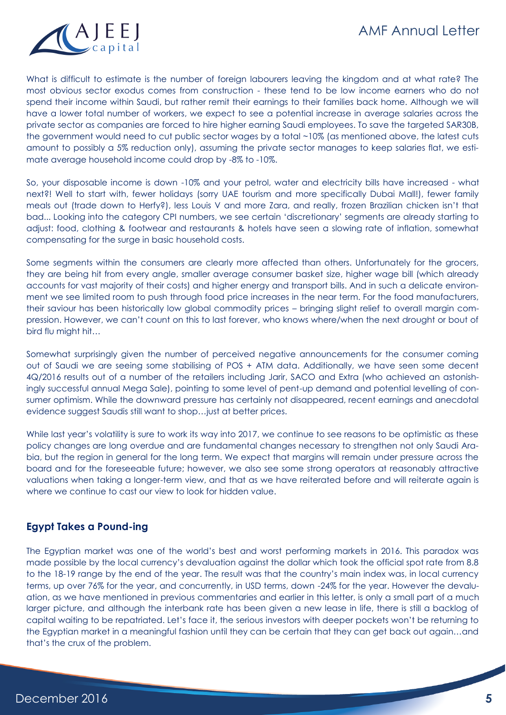

What is difficult to estimate is the number of foreign labourers leaving the kingdom and at what rate? The most obvious sector exodus comes from construction - these tend to be low income earners who do not spend their income within Saudi, but rather remit their earnings to their families back home. Although we will have a lower total number of workers, we expect to see a potential increase in average salaries across the private sector as companies are forced to hire higher earning Saudi employees. To save the targeted SAR30B, the government would need to cut public sector wages by a total ~10% (as mentioned above, the latest cuts amount to possibly a 5% reduction only), assuming the private sector manages to keep salaries flat, we estimate average household income could drop by -8% to -10%.

So, your disposable income is down -10% and your petrol, water and electricity bills have increased - what next?! Well to start with, fewer holidays (sorry UAE tourism and more specifically Dubai Mall!), fewer family meals out (trade down to Herfy?), less Louis V and more Zara, and really, frozen Brazilian chicken isn't that bad... Looking into the category CPI numbers, we see certain 'discretionary' segments are already starting to adjust: food, clothing & footwear and restaurants & hotels have seen a slowing rate of inflation, somewhat compensating for the surge in basic household costs.

Some segments within the consumers are clearly more affected than others. Unfortunately for the grocers, they are being hit from every angle, smaller average consumer basket size, higher wage bill (which already accounts for vast majority of their costs) and higher energy and transport bills. And in such a delicate environment we see limited room to push through food price increases in the near term. For the food manufacturers, their saviour has been historically low global commodity prices – bringing slight relief to overall margin compression. However, we can't count on this to last forever, who knows where/when the next drought or bout of bird flu might hit…

Somewhat surprisingly given the number of perceived negative announcements for the consumer coming out of Saudi we are seeing some stabilising of POS + ATM data. Additionally, we have seen some decent 4Q/2016 results out of a number of the retailers including Jarir, SACO and Extra (who achieved an astonishingly successful annual Mega Sale), pointing to some level of pent-up demand and potential levelling of consumer optimism. While the downward pressure has certainly not disappeared, recent earnings and anecdotal evidence suggest Saudis still want to shop…just at better prices.

While last year's volatility is sure to work its way into 2017, we continue to see reasons to be optimistic as these policy changes are long overdue and are fundamental changes necessary to strengthen not only Saudi Arabia, but the region in general for the long term. We expect that margins will remain under pressure across the board and for the foreseeable future; however, we also see some strong operators at reasonably attractive valuations when taking a longer-term view, and that as we have reiterated before and will reiterate again is where we continue to cast our view to look for hidden value.

### **Egypt Takes a Pound-ing**

The Egyptian market was one of the world's best and worst performing markets in 2016. This paradox was made possible by the local currency's devaluation against the dollar which took the official spot rate from 8.8 to the 18-19 range by the end of the year. The result was that the country's main index was, in local currency terms, up over 76% for the year, and concurrently, in USD terms, down -24% for the year. However the devaluation, as we have mentioned in previous commentaries and earlier in this letter, is only a small part of a much larger picture, and although the interbank rate has been given a new lease in life, there is still a backlog of capital waiting to be repatriated. Let's face it, the serious investors with deeper pockets won't be returning to the Egyptian market in a meaningful fashion until they can be certain that they can get back out again…and that's the crux of the problem.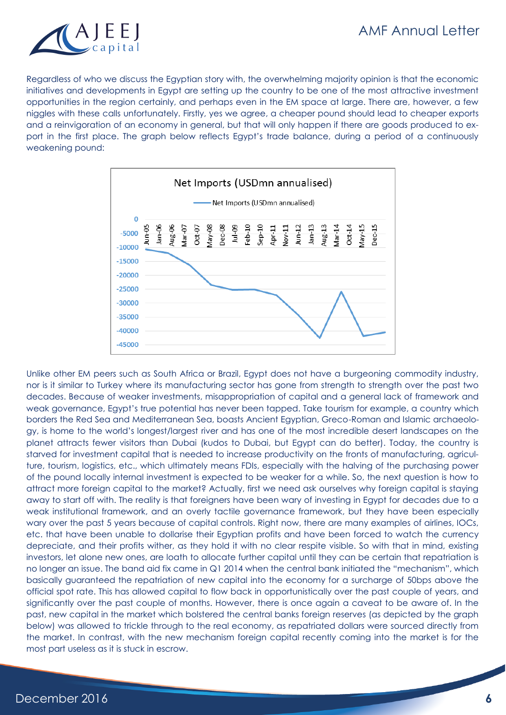

Regardless of who we discuss the Egyptian story with, the overwhelming majority opinion is that the economic initiatives and developments in Egypt are setting up the country to be one of the most attractive investment opportunities in the region certainly, and perhaps even in the EM space at large. There are, however, a few niggles with these calls unfortunately. Firstly, yes we agree, a cheaper pound should lead to cheaper exports and a reinvigoration of an economy in general, but that will only happen if there are goods produced to export in the first place. The graph below reflects Egypt's trade balance, during a period of a continuously weakening pound:



Unlike other EM peers such as South Africa or Brazil, Egypt does not have a burgeoning commodity industry, nor is it similar to Turkey where its manufacturing sector has gone from strength to strength over the past two decades. Because of weaker investments, misappropriation of capital and a general lack of framework and weak governance, Egypt's true potential has never been tapped. Take tourism for example, a country which borders the Red Sea and Mediterranean Sea, boasts Ancient Egyptian, Greco-Roman and Islamic archaeology, is home to the world's longest/largest river and has one of the most incredible desert landscapes on the planet attracts fewer visitors than Dubai (kudos to Dubai, but Egypt can do better). Today, the country is starved for investment capital that is needed to increase productivity on the fronts of manufacturing, agriculture, tourism, logistics, etc., which ultimately means FDIs, especially with the halving of the purchasing power of the pound locally internal investment is expected to be weaker for a while. So, the next question is how to attract more foreign capital to the market? Actually, first we need ask ourselves why foreign capital is staying away to start off with. The reality is that foreigners have been wary of investing in Egypt for decades due to a weak institutional framework, and an overly tactile governance framework, but they have been especially wary over the past 5 years because of capital controls. Right now, there are many examples of airlines, IOCs, etc. that have been unable to dollarise their Egyptian profits and have been forced to watch the currency depreciate, and their profits wither, as they hold it with no clear respite visible. So with that in mind, existing investors, let alone new ones, are loath to allocate further capital until they can be certain that repatriation is no longer an issue. The band aid fix came in Q1 2014 when the central bank initiated the "mechanism", which basically guaranteed the repatriation of new capital into the economy for a surcharge of 50bps above the official spot rate. This has allowed capital to flow back in opportunistically over the past couple of years, and significantly over the past couple of months. However, there is once again a caveat to be aware of. In the past, new capital in the market which bolstered the central banks foreign reserves (as depicted by the graph below) was allowed to trickle through to the real economy, as repatriated dollars were sourced directly from the market. In contrast, with the new mechanism foreign capital recently coming into the market is for the most part useless as it is stuck in escrow.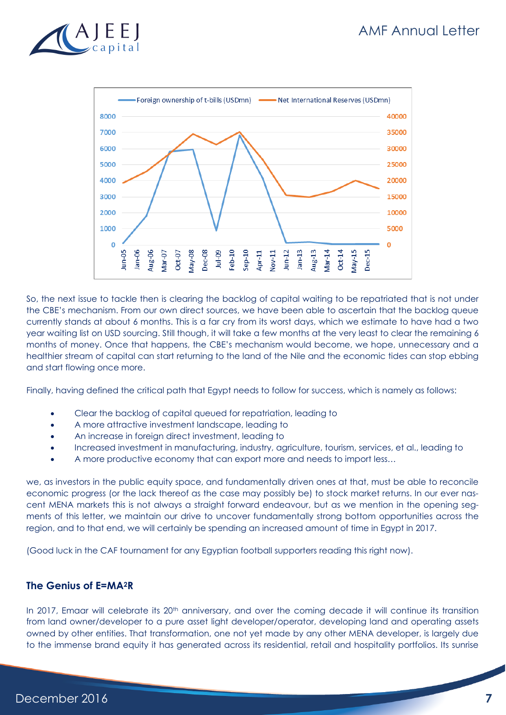



So, the next issue to tackle then is clearing the backlog of capital waiting to be repatriated that is not under the CBE's mechanism. From our own direct sources, we have been able to ascertain that the backlog queue currently stands at about 6 months. This is a far cry from its worst days, which we estimate to have had a two year waiting list on USD sourcing. Still though, it will take a few months at the very least to clear the remaining 6 months of money. Once that happens, the CBE's mechanism would become, we hope, unnecessary and a healthier stream of capital can start returning to the land of the Nile and the economic tides can stop ebbing and start flowing once more.

Finally, having defined the critical path that Egypt needs to follow for success, which is namely as follows:

- Clear the backlog of capital queued for repatriation, leading to
- A more attractive investment landscape, leading to
- An increase in foreign direct investment, leading to
- Increased investment in manufacturing, industry, agriculture, tourism, services, et al., leading to
- A more productive economy that can export more and needs to import less…

we, as investors in the public equity space, and fundamentally driven ones at that, must be able to reconcile economic progress (or the lack thereof as the case may possibly be) to stock market returns. In our ever nascent MENA markets this is not always a straight forward endeavour, but as we mention in the opening segments of this letter, we maintain our drive to uncover fundamentally strong bottom opportunities across the region, and to that end, we will certainly be spending an increased amount of time in Egypt in 2017.

(Good luck in the CAF tournament for any Egyptian football supporters reading this right now).

#### **The Genius of E=MA2R**

In 2017, Emaar will celebrate its 20<sup>th</sup> anniversary, and over the coming decade it will continue its transition from land owner/developer to a pure asset light developer/operator, developing land and operating assets owned by other entities. That transformation, one not yet made by any other MENA developer, is largely due to the immense brand equity it has generated across its residential, retail and hospitality portfolios. Its sunrise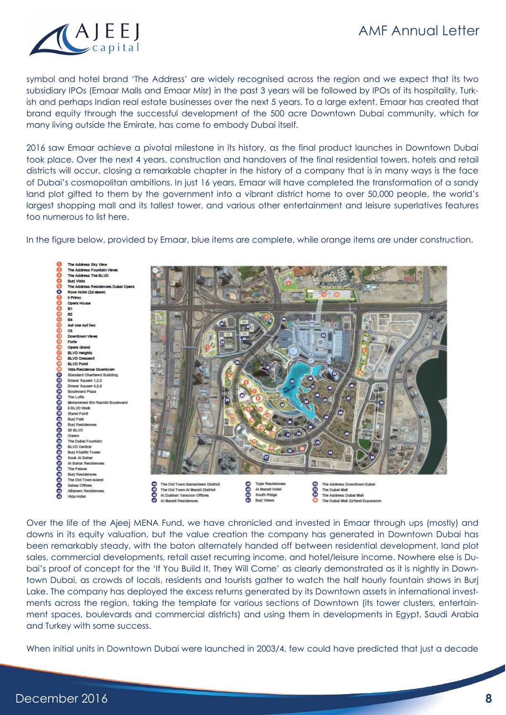# AMF Annual Letter



symbol and hotel brand 'The Address' are widely recognised across the region and we expect that its two subsidiary IPOs (Emaar Malls and Emaar Misr) in the past 3 years will be followed by IPOs of its hospitality, Turkish and perhaps Indian real estate businesses over the next 5 years. To a large extent, Emaar has created that brand equity through the successful development of the 500 acre Downtown Dubai community, which for many living outside the Emirate, has come to embody Dubai itself.

2016 saw Emaar achieve a pivotal milestone in its history, as the final product launches in Downtown Dubai took place. Over the next 4 years, construction and handovers of the final residential towers, hotels and retail districts will occur, closing a remarkable chapter in the history of a company that is in many ways is the face of Dubai's cosmopolitan ambitions. In just 16 years, Emaar will have completed the transformation of a sandy land plot gifted to them by the government into a vibrant district home to over 50,000 people, the world's largest shopping mall and its tallest tower, and various other entertainment and leisure superlatives features too numerous to list here.

In the figure below, provided by Emaar, blue items are complete, while orange items are under construction.

Sky View The Address Fountain Vi ŏoo The Address The BLVD Burj Victa<br>The Addre  $\overline{\mathbf{o}}$ Rove Hotel (Za'abeel) **Il Prin** Ope B1 **PO** Act one Act two **P** Do Forte Opera Grand BLVD Height **BLVD Cre BLVD Point** Vida Re **Standard Chartered Building** Fraar Square 1.2.3 Emaar Square 4,6,6 **Boulevard Plaza** The Lofts d Bin Rashid Boulevan 8 BLVD Walk **Stand Point** Burj Part **Burj Reck** 29 BLVD The Dubal Fountair **BLVD Central** Burj Khailfa Tor Souk Al Bahar Al Bahar Resid The Palao Burj Reck The Old Town Island Sahaa Office tareen Reci Vida Hofel



Over the life of the Ajeej MENA Fund, we have chronicled and invested in Emaar through ups (mostly) and downs in its equity valuation, but the value creation the company has generated in Downtown Dubai has been remarkably steady, with the baton alternately handed off between residential development, land plot sales, commercial developments, retail asset recurring income, and hotel/leisure income. Nowhere else is Dubai's proof of concept for the 'If You Build It, They Will Come' as clearly demonstrated as it is nightly in Downtown Dubai, as crowds of locals, residents and tourists gather to watch the half hourly fountain shows in Burj Lake. The company has deployed the excess returns generated by its Downtown assets in international investments across the region, taking the template for various sections of Downtown (its tower clusters, entertainment spaces, boulevards and commercial districts) and using them in developments in Egypt, Saudi Arabia and Turkey with some success.

When initial units in Downtown Dubai were launched in 2003/4, few could have predicted that just a decade